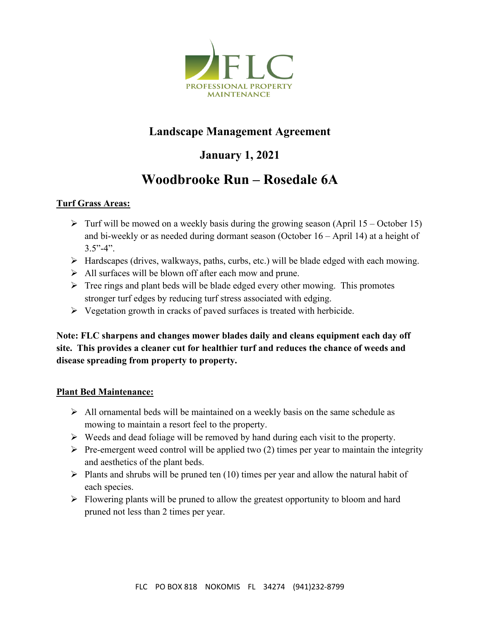

## **Landscape Management Agreement**

# **January 1, 2021**

# **Woodbrooke Run – Rosedale 6A**

#### **Turf Grass Areas:**

- $\triangleright$  Turf will be mowed on a weekly basis during the growing season (April 15 October 15) and bi-weekly or as needed during dormant season (October 16 – April 14) at a height of  $3.5" - 4"$ .
- $\triangleright$  Hardscapes (drives, walkways, paths, curbs, etc.) will be blade edged with each mowing.
- $\triangleright$  All surfaces will be blown off after each mow and prune.
- $\triangleright$  Tree rings and plant beds will be blade edged every other mowing. This promotes stronger turf edges by reducing turf stress associated with edging.
- $\triangleright$  Vegetation growth in cracks of paved surfaces is treated with herbicide.

**Note: FLC sharpens and changes mower blades daily and cleans equipment each day off site. This provides a cleaner cut for healthier turf and reduces the chance of weeds and disease spreading from property to property.**

#### **Plant Bed Maintenance:**

- $\triangleright$  All ornamental beds will be maintained on a weekly basis on the same schedule as mowing to maintain a resort feel to the property.
- $\triangleright$  Weeds and dead foliage will be removed by hand during each visit to the property.
- $\triangleright$  Pre-emergent weed control will be applied two (2) times per year to maintain the integrity and aesthetics of the plant beds.
- $\triangleright$  Plants and shrubs will be pruned ten (10) times per year and allow the natural habit of each species.
- $\triangleright$  Flowering plants will be pruned to allow the greatest opportunity to bloom and hard pruned not less than 2 times per year.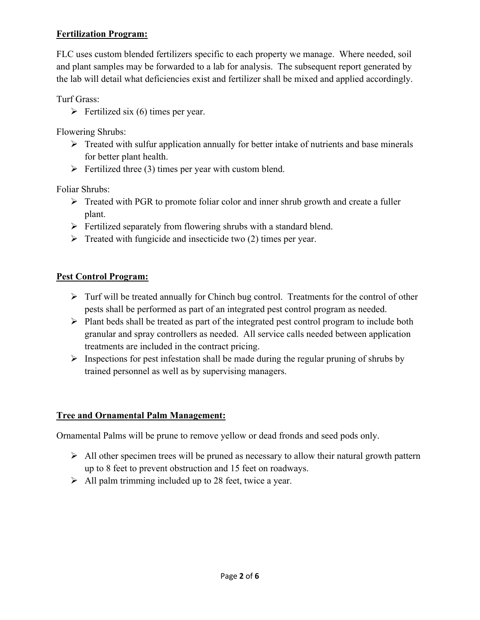#### **Fertilization Program:**

FLC uses custom blended fertilizers specific to each property we manage. Where needed, soil and plant samples may be forwarded to a lab for analysis. The subsequent report generated by the lab will detail what deficiencies exist and fertilizer shall be mixed and applied accordingly.

Turf Grass:

 $\triangleright$  Fertilized six (6) times per year.

Flowering Shrubs:

- $\triangleright$  Treated with sulfur application annually for better intake of nutrients and base minerals for better plant health.
- $\triangleright$  Fertilized three (3) times per year with custom blend.

Foliar Shrubs:

- $\triangleright$  Treated with PGR to promote foliar color and inner shrub growth and create a fuller plant.
- $\triangleright$  Fertilized separately from flowering shrubs with a standard blend.
- $\triangleright$  Treated with fungicide and insecticide two (2) times per year.

#### **Pest Control Program:**

- $\triangleright$  Turf will be treated annually for Chinch bug control. Treatments for the control of other pests shall be performed as part of an integrated pest control program as needed.
- $\triangleright$  Plant beds shall be treated as part of the integrated pest control program to include both granular and spray controllers as needed. All service calls needed between application treatments are included in the contract pricing.
- $\triangleright$  Inspections for pest infestation shall be made during the regular pruning of shrubs by trained personnel as well as by supervising managers.

#### **Tree and Ornamental Palm Management:**

Ornamental Palms will be prune to remove yellow or dead fronds and seed pods only.

- $\triangleright$  All other specimen trees will be pruned as necessary to allow their natural growth pattern up to 8 feet to prevent obstruction and 15 feet on roadways.
- $\triangleright$  All palm trimming included up to 28 feet, twice a year.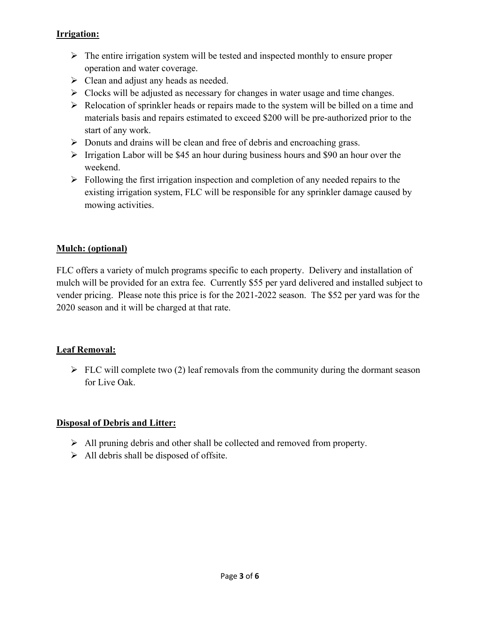#### **Irrigation:**

- $\triangleright$  The entire irrigation system will be tested and inspected monthly to ensure proper operation and water coverage.
- $\triangleright$  Clean and adjust any heads as needed.
- $\triangleright$  Clocks will be adjusted as necessary for changes in water usage and time changes.
- $\triangleright$  Relocation of sprinkler heads or repairs made to the system will be billed on a time and materials basis and repairs estimated to exceed \$200 will be pre-authorized prior to the start of any work.
- $\triangleright$  Donuts and drains will be clean and free of debris and encroaching grass.
- $\triangleright$  Irrigation Labor will be \$45 an hour during business hours and \$90 an hour over the weekend.
- $\triangleright$  Following the first irrigation inspection and completion of any needed repairs to the existing irrigation system, FLC will be responsible for any sprinkler damage caused by mowing activities.

### **Mulch: (optional)**

FLC offers a variety of mulch programs specific to each property. Delivery and installation of mulch will be provided for an extra fee. Currently \$55 per yard delivered and installed subject to vender pricing. Please note this price is for the 2021-2022 season. The \$52 per yard was for the 2020 season and it will be charged at that rate.

#### **Leaf Removal:**

 $\triangleright$  FLC will complete two (2) leaf removals from the community during the dormant season for Live Oak.

#### **Disposal of Debris and Litter:**

- $\triangleright$  All pruning debris and other shall be collected and removed from property.
- $\triangleright$  All debris shall be disposed of offsite.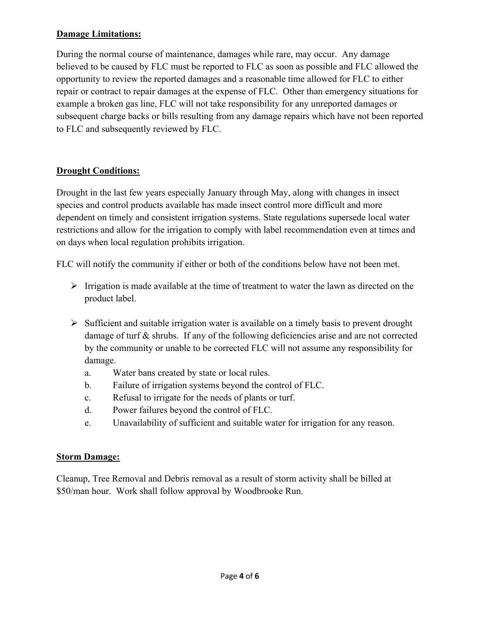#### **Damage Limitations:**

During the normal course of maintenance, damages while rare, may occur. Any damage believed to be caused by FLC must be reported to FLC as soon as possible and FLC allowed the opportunity to review the reported damages and a reasonable time allowed for FLC to either repair or contract to repair damages at the expense of FLC. Other than emergency situations for example a broken gas line, FLC will not take responsibility for any unreported damages or subsequent charge backs or bills resulting from any damage repairs which have not been reported to FLC and subsequently reviewed by FLC.

#### **Drought Conditions:**

Drought in the last few years especially January through May, along with changes in insect species and control products available has made insect control more difficult and more dependent on timely and consistent irrigation systems. State regulations supersede local water restrictions and allow for the irrigation to comply with label recommendation even at times and on days when local regulation prohibits irrigation.

FLC will notify the community if either or both of the conditions below have not been met.

- $\triangleright$  Irrigation is made available at the time of treatment to water the lawn as directed on the product label.
- $\triangleright$  Sufficient and suitable irrigation water is available on a timely basis to prevent drought damage of turf & shrubs. If any of the following deficiencies arise and are not corrected by the community or unable to be corrected FLC will not assume any responsibility for damage.
	- a. Water bans created by state or local rules.
	- b. Failure of irrigation systems beyond the control of FLC.
	- c. Refusal to irrigate for the needs of plants or turf.
	- d. Power failures beyond the control of FLC.
	- e. Unavailability of sufficient and suitable water for irrigation for any reason.

#### **Storm Damage:**

Cleanup, Tree Removal and Debris removal as a result of storm activity shall be billed at \$50/man hour. Work shall follow approval by Woodbrooke Run.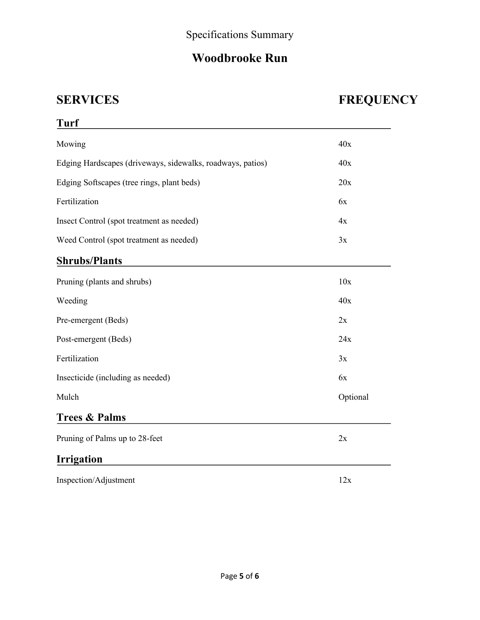# **Woodbrooke Run**

# **SERVICES FREQUENCY**

| <b>Turf</b>                                                |          |
|------------------------------------------------------------|----------|
| Mowing                                                     | 40x      |
| Edging Hardscapes (driveways, sidewalks, roadways, patios) | 40x      |
| Edging Softscapes (tree rings, plant beds)                 | 20x      |
| Fertilization                                              | 6x       |
| Insect Control (spot treatment as needed)                  | 4x       |
| Weed Control (spot treatment as needed)                    | 3x       |
| <b>Shrubs/Plants</b>                                       |          |
| Pruning (plants and shrubs)                                | 10x      |
| Weeding                                                    | 40x      |
| Pre-emergent (Beds)                                        | 2x       |
| Post-emergent (Beds)                                       | 24x      |
| Fertilization                                              | 3x       |
| Insecticide (including as needed)                          | 6x       |
| Mulch                                                      | Optional |
| <b>Trees &amp; Palms</b>                                   |          |
| Pruning of Palms up to 28-feet                             | 2x       |
| <b>Irrigation</b>                                          |          |
| Inspection/Adjustment                                      | 12x      |